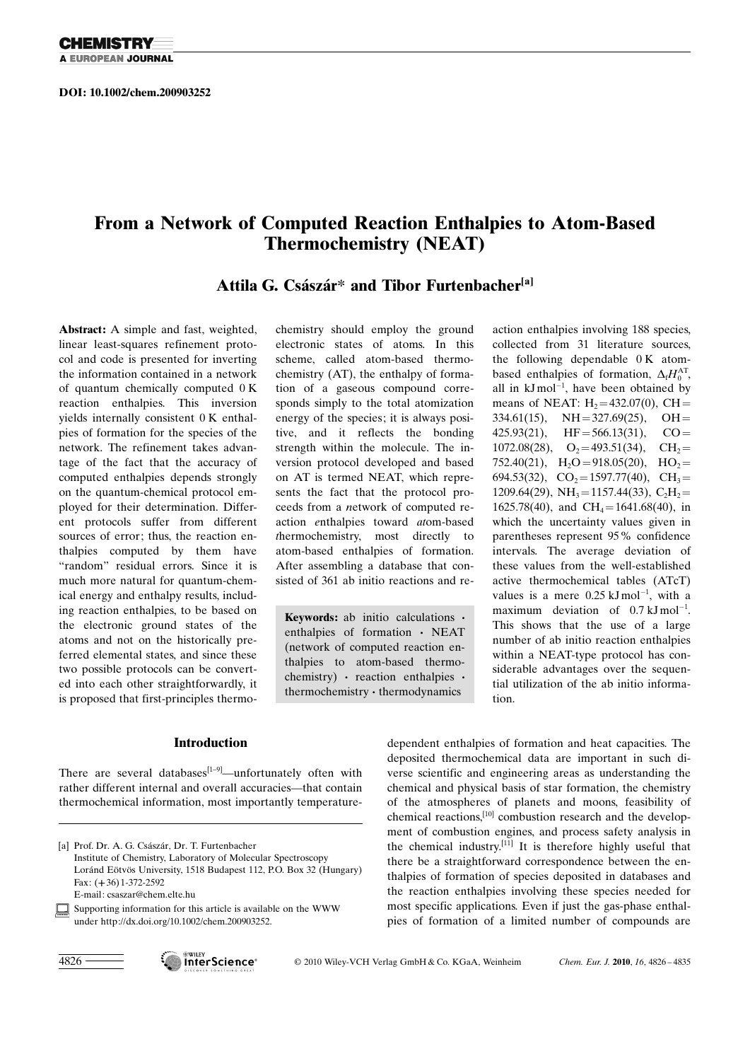DOI: 10.1002/chem.200903252

### From a Network of Computed Reaction Enthalpies to Atom-Based Thermochemistry (NEAT)

### Attila G. Császár\* and Tibor Furtenbacher<sup>[a]</sup>

Abstract: A simple and fast, weighted, linear least-squares refinement protocol and code is presented for inverting the information contained in a network of quantum chemically computed 0 K reaction enthalpies. This inversion yields internally consistent 0 K enthalpies of formation for the species of the network. The refinement takes advantage of the fact that the accuracy of computed enthalpies depends strongly on the quantum-chemical protocol employed for their determination. Different protocols suffer from different sources of error; thus, the reaction enthalpies computed by them have "random" residual errors. Since it is much more natural for quantum-chemical energy and enthalpy results, including reaction enthalpies, to be based on the electronic ground states of the atoms and not on the historically preferred elemental states, and since these two possible protocols can be converted into each other straightforwardly, it is proposed that first-principles thermochemistry should employ the ground electronic states of atoms. In this scheme, called atom-based thermochemistry (AT), the enthalpy of formation of a gaseous compound corresponds simply to the total atomization energy of the species; it is always positive, and it reflects the bonding strength within the molecule. The inversion protocol developed and based on AT is termed NEAT, which represents the fact that the protocol proceeds from a network of computed reaction enthalpies toward atom-based thermochemistry, most directly to atom-based enthalpies of formation. After assembling a database that consisted of 361 ab initio reactions and re-

Keywords: ab initio calculations · enthalpies of formation · NEAT (network of computed reaction enthalpies to atom-based thermochemistry) · reaction enthalpies · thermochemistry · thermodynamics

Introduction

There are several databases<sup>[1–9]</sup>—unfortunately often with rather different internal and overall accuracies—that contain thermochemical information, most importantly temperature-

[a] Prof. Dr. A. G. Császár, Dr. T. Furtenbacher Institute of Chemistry, Laboratory of Molecular Spectroscopy Loránd Eötvös University, 1518 Budapest 112, P.O. Box 32 (Hungary) Fax: (+36) 1-372-2592 E-mail: csaszar@chem.elte.hu

Supporting information for this article is available on the WWW under http://dx.doi.org/10.1002/chem.200903252.



the following dependable 0 K atombased enthalpies of formation,  $\Delta_f H_0^{\text{AT}}$ , all in  $kJ \text{ mol}^{-1}$ , have been obtained by means of NEAT:  $H_2 = 432.07(0)$ , CH= 334.61(15), NH = 327.69(25), OH = 425.93(21),  $HF = 566.13(31)$ ,  $CO =$  $1072.08(28)$ ,  $O_2 = 493.51(34)$ ,  $CH_2 =$ 752.40(21),  $H_2O = 918.05(20)$ ,  $HO_2 =$ 694.53(32),  $CO_2 = 1597.77(40)$ ,  $CH_3 =$ 1209.64(29), NH<sub>3</sub>=1157.44(33), C<sub>2</sub>H<sub>2</sub>= 1625.78(40), and  $CH<sub>4</sub>=1641.68(40)$ , in which the uncertainty values given in parentheses represent 95% confidence intervals. The average deviation of these values from the well-established active thermochemical tables (ATcT) values is a mere  $0.25 \text{ kJ} \text{ mol}^{-1}$ , with a maximum deviation of  $0.7 \text{ kJ} \text{ mol}^{-1}$ . This shows that the use of a large number of ab initio reaction enthalpies within a NEAT-type protocol has considerable advantages over the sequential utilization of the ab initio information.

action enthalpies involving 188 species, collected from 31 literature sources,

dependent enthalpies of formation and heat capacities. The deposited thermochemical data are important in such diverse scientific and engineering areas as understanding the chemical and physical basis of star formation, the chemistry of the atmospheres of planets and moons, feasibility of chemical reactions,[10] combustion research and the development of combustion engines, and process safety analysis in the chemical industry.[11] It is therefore highly useful that there be a straightforward correspondence between the enthalpies of formation of species deposited in databases and the reaction enthalpies involving these species needed for most specific applications. Even if just the gas-phase enthalpies of formation of a limited number of compounds are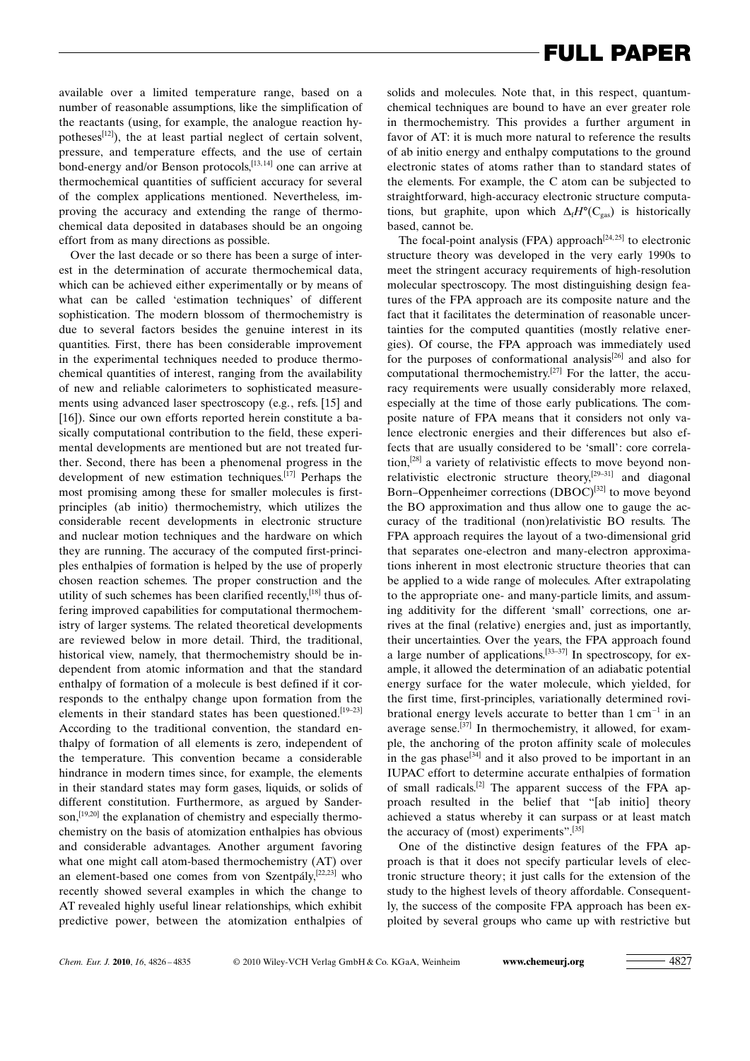available over a limited temperature range, based on a number of reasonable assumptions, like the simplification of the reactants (using, for example, the analogue reaction hypotheses[12]), the at least partial neglect of certain solvent, pressure, and temperature effects, and the use of certain bond-energy and/or Benson protocols,<sup>[13,14]</sup> one can arrive at thermochemical quantities of sufficient accuracy for several of the complex applications mentioned. Nevertheless, improving the accuracy and extending the range of thermochemical data deposited in databases should be an ongoing effort from as many directions as possible.

Over the last decade or so there has been a surge of interest in the determination of accurate thermochemical data, which can be achieved either experimentally or by means of what can be called 'estimation techniques' of different sophistication. The modern blossom of thermochemistry is due to several factors besides the genuine interest in its quantities. First, there has been considerable improvement in the experimental techniques needed to produce thermochemical quantities of interest, ranging from the availability of new and reliable calorimeters to sophisticated measurements using advanced laser spectroscopy (e.g., refs. [15] and [16]). Since our own efforts reported herein constitute a basically computational contribution to the field, these experimental developments are mentioned but are not treated further. Second, there has been a phenomenal progress in the development of new estimation techniques.<sup>[17]</sup> Perhaps the most promising among these for smaller molecules is firstprinciples (ab initio) thermochemistry, which utilizes the considerable recent developments in electronic structure and nuclear motion techniques and the hardware on which they are running. The accuracy of the computed first-principles enthalpies of formation is helped by the use of properly chosen reaction schemes. The proper construction and the utility of such schemes has been clarified recently,<sup>[18]</sup> thus offering improved capabilities for computational thermochemistry of larger systems. The related theoretical developments are reviewed below in more detail. Third, the traditional, historical view, namely, that thermochemistry should be independent from atomic information and that the standard enthalpy of formation of a molecule is best defined if it corresponds to the enthalpy change upon formation from the elements in their standard states has been questioned.<sup>[19-23]</sup> According to the traditional convention, the standard enthalpy of formation of all elements is zero, independent of the temperature. This convention became a considerable hindrance in modern times since, for example, the elements in their standard states may form gases, liquids, or solids of different constitution. Furthermore, as argued by Sanderson,<sup>[19,20]</sup> the explanation of chemistry and especially thermochemistry on the basis of atomization enthalpies has obvious and considerable advantages. Another argument favoring what one might call atom-based thermochemistry (AT) over an element-based one comes from von Szentpály,<sup>[22,23]</sup> who recently showed several examples in which the change to AT revealed highly useful linear relationships, which exhibit predictive power, between the atomization enthalpies of

solids and molecules. Note that, in this respect, quantumchemical techniques are bound to have an ever greater role in thermochemistry. This provides a further argument in favor of AT: it is much more natural to reference the results of ab initio energy and enthalpy computations to the ground electronic states of atoms rather than to standard states of the elements. For example, the C atom can be subjected to straightforward, high-accuracy electronic structure computations, but graphite, upon which  $\Delta_f H^{\circ}(C_{gas})$  is historically based, cannot be.

The focal-point analysis (FPA) approach<sup>[24,25]</sup> to electronic structure theory was developed in the very early 1990s to meet the stringent accuracy requirements of high-resolution molecular spectroscopy. The most distinguishing design features of the FPA approach are its composite nature and the fact that it facilitates the determination of reasonable uncertainties for the computed quantities (mostly relative energies). Of course, the FPA approach was immediately used for the purposes of conformational analysis<sup>[26]</sup> and also for computational thermochemistry.[27] For the latter, the accuracy requirements were usually considerably more relaxed, especially at the time of those early publications. The composite nature of FPA means that it considers not only valence electronic energies and their differences but also effects that are usually considered to be 'small': core correlation,[28] a variety of relativistic effects to move beyond nonrelativistic electronic structure theory, $[29-31]$  and diagonal Born–Oppenheimer corrections (DBOC)<sup>[32]</sup> to move beyond the BO approximation and thus allow one to gauge the accuracy of the traditional (non)relativistic BO results. The FPA approach requires the layout of a two-dimensional grid that separates one-electron and many-electron approximations inherent in most electronic structure theories that can be applied to a wide range of molecules. After extrapolating to the appropriate one- and many-particle limits, and assuming additivity for the different 'small' corrections, one arrives at the final (relative) energies and, just as importantly, their uncertainties. Over the years, the FPA approach found a large number of applications.<sup>[33–37]</sup> In spectroscopy, for example, it allowed the determination of an adiabatic potential energy surface for the water molecule, which yielded, for the first time, first-principles, variationally determined rovibrational energy levels accurate to better than  $1 \text{ cm}^{-1}$  in an average sense.<sup>[37]</sup> In thermochemistry, it allowed, for example, the anchoring of the proton affinity scale of molecules in the gas phase<sup>[34]</sup> and it also proved to be important in an IUPAC effort to determine accurate enthalpies of formation of small radicals.[2] The apparent success of the FPA approach resulted in the belief that "[ab initio] theory achieved a status whereby it can surpass or at least match the accuracy of (most) experiments".<sup>[35]</sup>

One of the distinctive design features of the FPA approach is that it does not specify particular levels of electronic structure theory; it just calls for the extension of the study to the highest levels of theory affordable. Consequently, the success of the composite FPA approach has been exploited by several groups who came up with restrictive but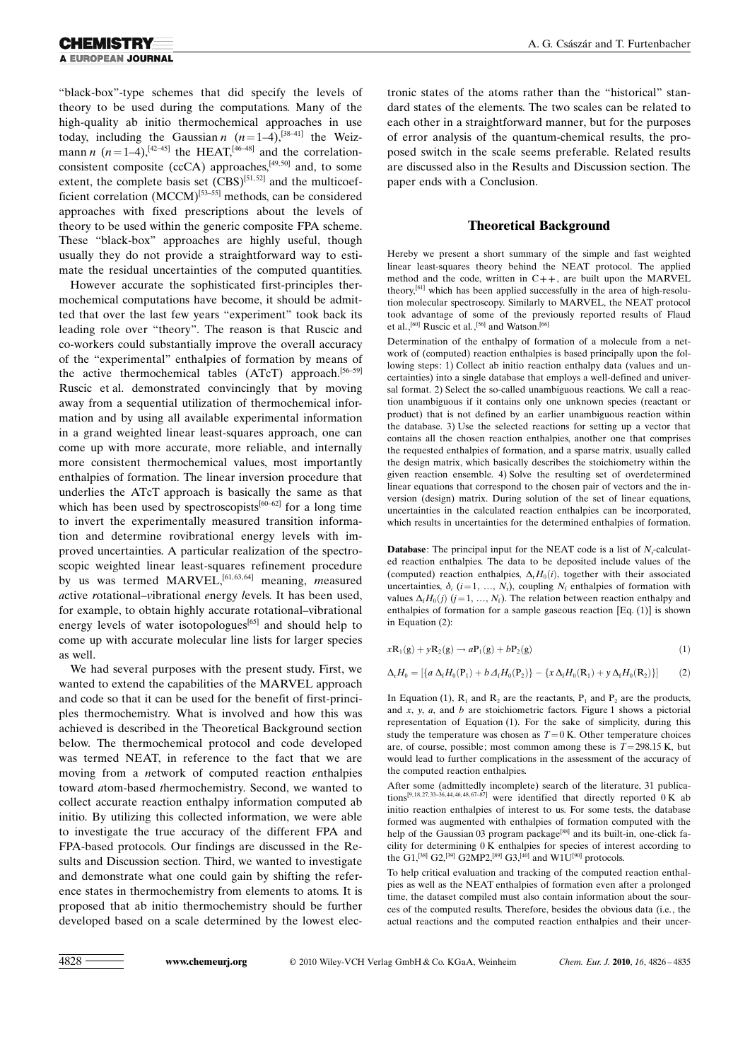"black-box"-type schemes that did specify the levels of theory to be used during the computations. Many of the high-quality ab initio thermochemical approaches in use today, including the Gaussian n  $(n=1-4)$ , [38-41] the Weizmann n  $(n=1-4)$ ,  $[42-45]$  the HEAT,  $[46-48]$  and the correlationconsistent composite (ccCA) approaches, $[49, 50]$  and, to some extent, the complete basis set  $(CBS)^{[51,52]}$  and the multicoefficient correlation (MCCM)[53–55] methods, can be considered approaches with fixed prescriptions about the levels of theory to be used within the generic composite FPA scheme. These "black-box" approaches are highly useful, though usually they do not provide a straightforward way to estimate the residual uncertainties of the computed quantities.

However accurate the sophisticated first-principles thermochemical computations have become, it should be admitted that over the last few years "experiment" took back its leading role over "theory". The reason is that Ruscic and co-workers could substantially improve the overall accuracy of the "experimental" enthalpies of formation by means of the active thermochemical tables (ATcT) approach.<sup>[56-59]</sup> Ruscic et al. demonstrated convincingly that by moving away from a sequential utilization of thermochemical information and by using all available experimental information in a grand weighted linear least-squares approach, one can come up with more accurate, more reliable, and internally more consistent thermochemical values, most importantly enthalpies of formation. The linear inversion procedure that underlies the ATcT approach is basically the same as that which has been used by spectroscopists<sup>[60–62]</sup> for a long time to invert the experimentally measured transition information and determine rovibrational energy levels with improved uncertainties. A particular realization of the spectroscopic weighted linear least-squares refinement procedure by us was termed MARVEL,  $[61, 63, 64]$  meaning, measured active rotational–vibrational energy levels. It has been used, for example, to obtain highly accurate rotational–vibrational energy levels of water isotopologues<sup>[65]</sup> and should help to come up with accurate molecular line lists for larger species as well.

We had several purposes with the present study. First, we wanted to extend the capabilities of the MARVEL approach and code so that it can be used for the benefit of first-principles thermochemistry. What is involved and how this was achieved is described in the Theoretical Background section below. The thermochemical protocol and code developed was termed NEAT, in reference to the fact that we are moving from a network of computed reaction enthalpies toward atom-based thermochemistry. Second, we wanted to collect accurate reaction enthalpy information computed ab initio. By utilizing this collected information, we were able to investigate the true accuracy of the different FPA and FPA-based protocols. Our findings are discussed in the Results and Discussion section. Third, we wanted to investigate and demonstrate what one could gain by shifting the reference states in thermochemistry from elements to atoms. It is proposed that ab initio thermochemistry should be further developed based on a scale determined by the lowest elec-

tronic states of the atoms rather than the "historical" standard states of the elements. The two scales can be related to each other in a straightforward manner, but for the purposes of error analysis of the quantum-chemical results, the proposed switch in the scale seems preferable. Related results are discussed also in the Results and Discussion section. The paper ends with a Conclusion.

#### Theoretical Background

Hereby we present a short summary of the simple and fast weighted linear least-squares theory behind the NEAT protocol. The applied method and the code, written in  $C++$ , are built upon the MARVEL theory,[61] which has been applied successfully in the area of high-resolution molecular spectroscopy. Similarly to MARVEL, the NEAT protocol took advantage of some of the previously reported results of Flaud et al.,<sup>[60]</sup> Ruscic et al.,<sup>[56]</sup> and Watson.<sup>[66]</sup>

Determination of the enthalpy of formation of a molecule from a network of (computed) reaction enthalpies is based principally upon the following steps: 1) Collect ab initio reaction enthalpy data (values and uncertainties) into a single database that employs a well-defined and universal format. 2) Select the so-called unambiguous reactions. We call a reaction unambiguous if it contains only one unknown species (reactant or product) that is not defined by an earlier unambiguous reaction within the database. 3) Use the selected reactions for setting up a vector that contains all the chosen reaction enthalpies, another one that comprises the requested enthalpies of formation, and a sparse matrix, usually called the design matrix, which basically describes the stoichiometry within the given reaction ensemble. 4) Solve the resulting set of overdetermined linear equations that correspond to the chosen pair of vectors and the inversion (design) matrix. During solution of the set of linear equations, uncertainties in the calculated reaction enthalpies can be incorporated, which results in uncertainties for the determined enthalpies of formation.

**Database:** The principal input for the NEAT code is a list of  $N$ -calculated reaction enthalpies. The data to be deposited include values of the (computed) reaction enthalpies,  $\Delta_r H_0(i)$ , together with their associated uncertainties,  $\delta_i$  (i=1, ..., N<sub>r</sub>), coupling N<sub>f</sub> enthalpies of formation with values  $\Delta_f H_0(j)$   $(j=1, ..., N_f)$ . The relation between reaction enthalpy and enthalpies of formation for a sample gaseous reaction [Eq. (1)] is shown in Equation (2):

$$
xR_1(g) + yR_2(g) \to aP_1(g) + bP_2(g)
$$
 (1)

$$
\Delta_{\rm r} H_0 = [\{a \; \Delta_{\rm f} H_0(\mathbf{P}_1) + b \; \Delta_{\rm f} H_0(\mathbf{P}_2)\} - \{x \; \Delta_{\rm f} H_0(\mathbf{R}_1) + y \; \Delta_{\rm f} H_0(\mathbf{R}_2)\}] \tag{2}
$$

In Equation (1),  $R_1$  and  $R_2$  are the reactants,  $P_1$  and  $P_2$  are the products, and x, y, a, and b are stoichiometric factors. Figure 1 shows a pictorial representation of Equation (1). For the sake of simplicity, during this study the temperature was chosen as  $T=0$  K. Other temperature choices are, of course, possible; most common among these is  $T=298.15$  K, but would lead to further complications in the assessment of the accuracy of the computed reaction enthalpies.

After some (admittedly incomplete) search of the literature, 31 publications<sup>[9,18,27,33-36,44,46,48,67-87]</sup> were identified that directly reported  $0 K$  ab initio reaction enthalpies of interest to us. For some tests, the database formed was augmented with enthalpies of formation computed with the help of the Gaussian 03 program package<sup>[88]</sup> and its built-in, one-click facility for determining 0 K enthalpies for species of interest according to the G1,<sup>[38]</sup> G2,<sup>[39]</sup> G2MP2,<sup>[89]</sup> G3,<sup>[40]</sup> and W1U<sup>[90]</sup> protocols.

To help critical evaluation and tracking of the computed reaction enthalpies as well as the NEAT enthalpies of formation even after a prolonged time, the dataset compiled must also contain information about the sources of the computed results. Therefore, besides the obvious data (i.e., the actual reactions and the computed reaction enthalpies and their uncer-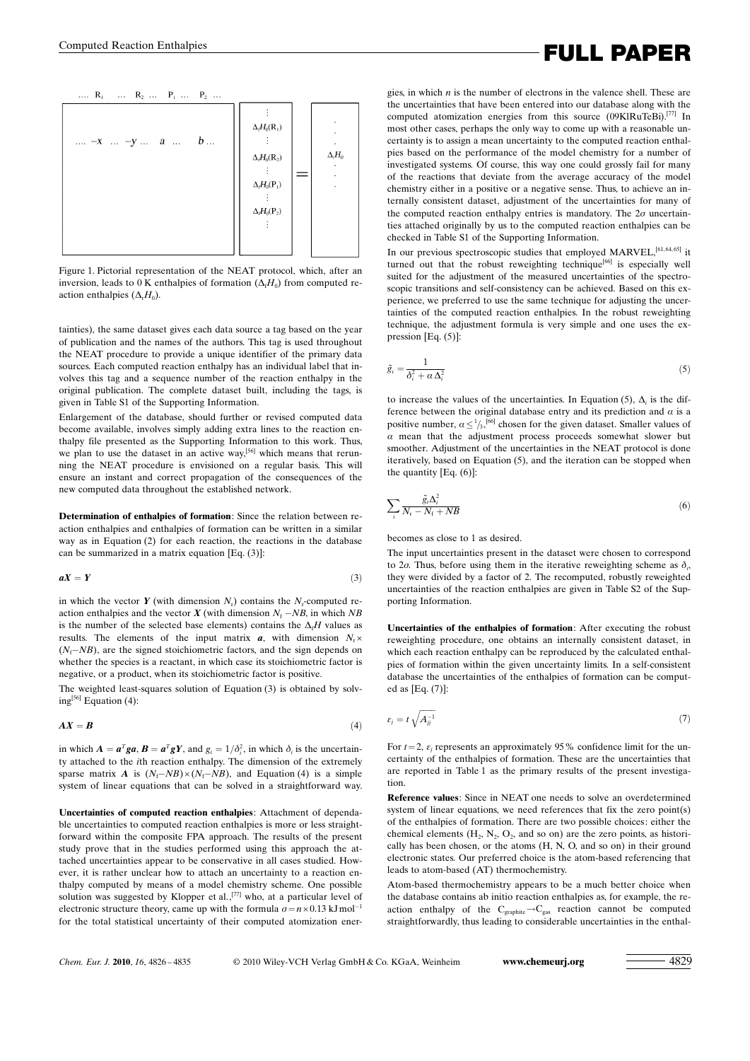



Figure 1. Pictorial representation of the NEAT protocol, which, after an inversion, leads to 0 K enthalpies of formation  $(\Delta_t H_0)$  from computed reaction enthalpies  $(\Delta_r H_0)$ .

tainties), the same dataset gives each data source a tag based on the year of publication and the names of the authors. This tag is used throughout the NEAT procedure to provide a unique identifier of the primary data sources. Each computed reaction enthalpy has an individual label that involves this tag and a sequence number of the reaction enthalpy in the original publication. The complete dataset built, including the tags, is given in Table S1 of the Supporting Information.

Enlargement of the database, should further or revised computed data become available, involves simply adding extra lines to the reaction enthalpy file presented as the Supporting Information to this work. Thus, we plan to use the dataset in an active way,<sup>[56]</sup> which means that rerunning the NEAT procedure is envisioned on a regular basis. This will ensure an instant and correct propagation of the consequences of the new computed data throughout the established network.

Determination of enthalpies of formation: Since the relation between reaction enthalpies and enthalpies of formation can be written in a similar way as in Equation (2) for each reaction, the reactions in the database can be summarized in a matrix equation [Eq. (3)]:

$$
aX = Y \tag{3}
$$

in which the vector Y (with dimension  $N_r$ ) contains the  $N_r$ -computed reaction enthalpies and the vector X (with dimension  $N_f$  –NB, in which NB is the number of the selected base elements) contains the  $\Delta_f H$  values as results. The elements of the input matrix  $\boldsymbol{a}$ , with dimension  $N_{\tau} \times$  $(N_f-NB)$ , are the signed stoichiometric factors, and the sign depends on whether the species is a reactant, in which case its stoichiometric factor is negative, or a product, when its stoichiometric factor is positive.

The weighted least-squares solution of Equation (3) is obtained by solving<sup>[56]</sup> Equation (4):

$$
AX = B \tag{4}
$$

in which  $\mathbf{A} = \mathbf{a}^T \mathbf{g} \mathbf{a}$ ,  $\mathbf{B} = \mathbf{a}^T \mathbf{g} \mathbf{Y}$ , and  $g_i = 1/\delta_i^2$ , in which  $\delta_i$  is the uncertainty attached to the ith reaction enthalpy. The dimension of the extremely sparse matrix **A** is  $(N_f-NB)\times(N_f-NB)$ , and Equation (4) is a simple system of linear equations that can be solved in a straightforward way.

Uncertainties of computed reaction enthalpies: Attachment of dependable uncertainties to computed reaction enthalpies is more or less straightforward within the composite FPA approach. The results of the present study prove that in the studies performed using this approach the attached uncertainties appear to be conservative in all cases studied. However, it is rather unclear how to attach an uncertainty to a reaction enthalpy computed by means of a model chemistry scheme. One possible solution was suggested by Klopper et al.,<sup>[77]</sup> who, at a particular level of electronic structure theory, came up with the formula  $\sigma = n \times 0.13 \text{ kJ} \text{ mol}^{-1}$ for the total statistical uncertainty of their computed atomization ener-

gies, in which  $n$  is the number of electrons in the valence shell. These are the uncertainties that have been entered into our database along with the computed atomization energies from this source (09KlRuTeBi).<sup>[77]</sup> In most other cases, perhaps the only way to come up with a reasonable uncertainty is to assign a mean uncertainty to the computed reaction enthalpies based on the performance of the model chemistry for a number of investigated systems. Of course, this way one could grossly fail for many of the reactions that deviate from the average accuracy of the model chemistry either in a positive or a negative sense. Thus, to achieve an internally consistent dataset, adjustment of the uncertainties for many of the computed reaction enthalpy entries is mandatory. The  $2\sigma$  uncertainties attached originally by us to the computed reaction enthalpies can be checked in Table S1 of the Supporting Information.

In our previous spectroscopic studies that employed MARVEL,<sup>[61,64,65]</sup> it turned out that the robust reweighting technique<sup>[66]</sup> is especially well suited for the adjustment of the measured uncertainties of the spectroscopic transitions and self-consistency can be achieved. Based on this experience, we preferred to use the same technique for adjusting the uncertainties of the computed reaction enthalpies. In the robust reweighting technique, the adjustment formula is very simple and one uses the expression [Eq. (5)]:

$$
\tilde{g}_i = \frac{1}{\delta_i^2 + \alpha \Delta_i^2} \tag{5}
$$

to increase the values of the uncertainties. In Equation (5),  $\Delta_i$  is the difference between the original database entry and its prediction and  $\alpha$  is a positive number,  $\alpha \leq \frac{1}{3}$ , <sup>[66]</sup> chosen for the given dataset. Smaller values of  $\alpha$  mean that the adjustment process proceeds somewhat slower but smoother. Adjustment of the uncertainties in the NEAT protocol is done iteratively, based on Equation (5), and the iteration can be stopped when the quantity [Eq. (6)]:

$$
\sum_{i} \frac{\tilde{g}_i \Delta_i^2}{N_r - N_t + NB} \tag{6}
$$

becomes as close to 1 as desired.

The input uncertainties present in the dataset were chosen to correspond to 2*o*. Thus, before using them in the iterative reweighting scheme as  $\delta_i$ , they were divided by a factor of 2. The recomputed, robustly reweighted uncertainties of the reaction enthalpies are given in Table S2 of the Supporting Information.

Uncertainties of the enthalpies of formation: After executing the robust reweighting procedure, one obtains an internally consistent dataset, in which each reaction enthalpy can be reproduced by the calculated enthalpies of formation within the given uncertainty limits. In a self-consistent database the uncertainties of the enthalpies of formation can be computed as [Eq. (7)]:

$$
\varepsilon_j = t \sqrt{A_{jj}^{-1}} \tag{7}
$$

For  $t=2$ ,  $\varepsilon_j$  represents an approximately 95% confidence limit for the uncertainty of the enthalpies of formation. These are the uncertainties that are reported in Table 1 as the primary results of the present investigation.

Reference values: Since in NEAT one needs to solve an overdetermined system of linear equations, we need references that fix the zero point(s) of the enthalpies of formation. There are two possible choices: either the chemical elements  $(H_2, N_2, O_2, and so on)$  are the zero points, as historically has been chosen, or the atoms  $(H, N, O, A)$  and so on) in their ground electronic states. Our preferred choice is the atom-based referencing that leads to atom-based (AT) thermochemistry.

Atom-based thermochemistry appears to be a much better choice when the database contains ab initio reaction enthalpies as, for example, the reaction enthalpy of the  $\mathrm{C_{graphite}}{\rightarrow}\mathrm{C_{gas}}$  reaction cannot be computed straightforwardly, thus leading to considerable uncertainties in the enthal-

# FULL PAPER Computed Reaction Enthalpies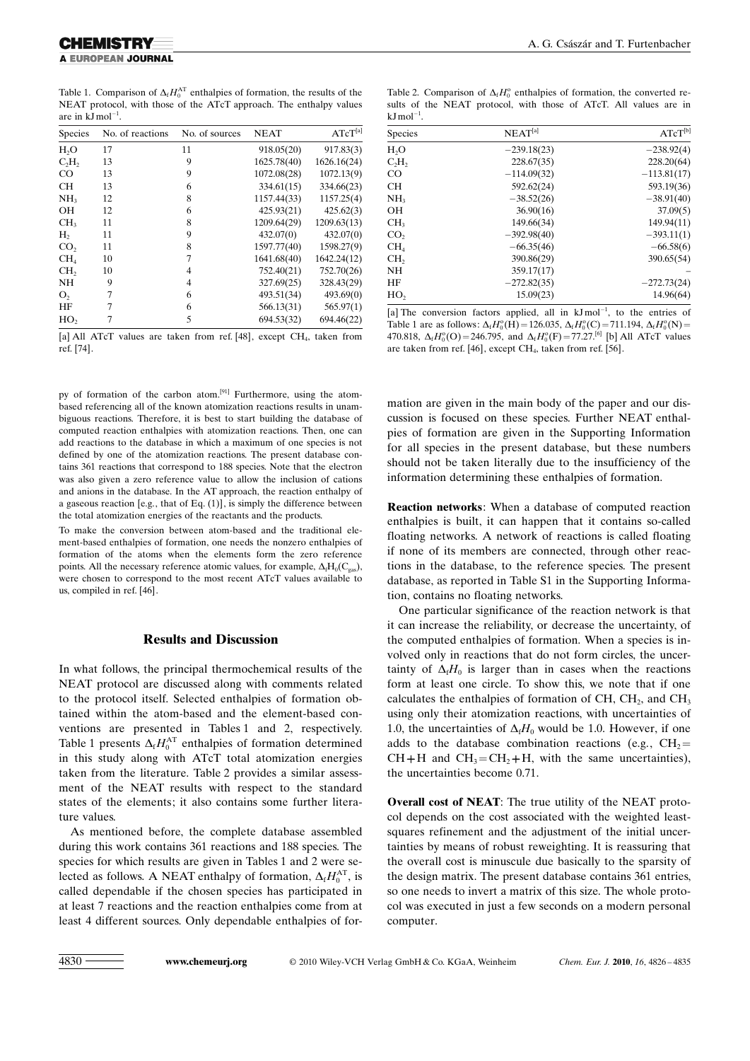Table 1. Comparison of  $\Delta_f H_0^{\text{AT}}$  enthalpies of formation, the results of the NEAT protocol, with those of the ATcT approach. The enthalpy values are in  $kJ$  mol<sup>-1</sup>.

| <b>Species</b>  | No. of reactions | No. of sources | <b>NEAT</b> | $ATcT^{[a]}$ |
|-----------------|------------------|----------------|-------------|--------------|
| $H_2O$          | 17               | 11             | 918.05(20)  | 917.83(3)    |
| $C_2H_2$        | 13               | 9              | 1625.78(40) | 1626.16(24)  |
| $_{\rm CO}$     | 13               | 9              | 1072.08(28) | 1072.13(9)   |
| <b>CH</b>       | 13               | 6              | 334.61(15)  | 334.66(23)   |
| NH <sub>3</sub> | 12               | 8              | 1157.44(33) | 1157.25(4)   |
| OН              | 12               | 6              | 425.93(21)  | 425.62(3)    |
| CH <sub>3</sub> | 11               | 8              | 1209.64(29) | 1209.63(13)  |
| H <sub>2</sub>  | 11               | 9              | 432.07(0)   | 432.07(0)    |
| CO <sub>2</sub> | 11               | 8              | 1597.77(40) | 1598.27(9)   |
| CH <sub>4</sub> | 10               |                | 1641.68(40) | 1642.24(12)  |
| CH <sub>2</sub> | 10               | 4              | 752.40(21)  | 752.70(26)   |
| <b>NH</b>       | 9                | 4              | 327.69(25)  | 328.43(29)   |
| O <sub>2</sub>  | 7                | 6              | 493.51(34)  | 493.69(0)    |
| HF              | 7                | 6              | 566.13(31)  | 565.97(1)    |
| HO <sub>2</sub> |                  | 5              | 694.53(32)  | 694.46(22)   |

[a] All ATcT values are taken from ref. [48], except CH<sub>4</sub>, taken from ref. [74].

py of formation of the carbon atom.[91] Furthermore, using the atombased referencing all of the known atomization reactions results in unambiguous reactions. Therefore, it is best to start building the database of computed reaction enthalpies with atomization reactions. Then, one can add reactions to the database in which a maximum of one species is not defined by one of the atomization reactions. The present database contains 361 reactions that correspond to 188 species. Note that the electron was also given a zero reference value to allow the inclusion of cations and anions in the database. In the AT approach, the reaction enthalpy of a gaseous reaction [e.g., that of Eq. (1)], is simply the difference between the total atomization energies of the reactants and the products.

To make the conversion between atom-based and the traditional element-based enthalpies of formation, one needs the nonzero enthalpies of formation of the atoms when the elements form the zero reference points. All the necessary reference atomic values, for example,  $\Delta_f H_0(C_{gas})$ , were chosen to correspond to the most recent ATcT values available to us, compiled in ref. [46].

#### Results and Discussion

In what follows, the principal thermochemical results of the NEAT protocol are discussed along with comments related to the protocol itself. Selected enthalpies of formation obtained within the atom-based and the element-based conventions are presented in Tables 1 and 2, respectively. Table 1 presents  $\Delta_i H_0^{\text{AT}}$  enthalpies of formation determined in this study along with ATcT total atomization energies taken from the literature. Table 2 provides a similar assessment of the NEAT results with respect to the standard states of the elements; it also contains some further literature values.

As mentioned before, the complete database assembled during this work contains 361 reactions and 188 species. The species for which results are given in Tables 1 and 2 were selected as follows. A NEAT enthalpy of formation,  $\Delta_f H_0^{\text{AT}}$ , is called dependable if the chosen species has participated in at least 7 reactions and the reaction enthalpies come from at least 4 different sources. Only dependable enthalpies of for-

Table 2. Comparison of  $\Delta_f H_0^{\circ}$  enthalpies of formation, the converted results of the NEAT protocol, with those of ATcT. All values are in  $kJ$  mol<sup>-1</sup>.

| Species          | NEAT <sup>[a]</sup> | ATcT[b]       |
|------------------|---------------------|---------------|
| H <sub>2</sub> O | $-239.18(23)$       | $-238.92(4)$  |
| $C_2H_2$         | 228.67(35)          | 228.20(64)    |
| CO.              | $-114.09(32)$       | $-113.81(17)$ |
| <b>CH</b>        | 592.62(24)          | 593.19(36)    |
| NH <sub>3</sub>  | $-38.52(26)$        | $-38.91(40)$  |
| OН               | 36.90(16)           | 37.09(5)      |
| CH <sub>3</sub>  | 149.66(34)          | 149.94(11)    |
| CO <sub>2</sub>  | $-392.98(40)$       | $-393.11(1)$  |
| $CH_4$           | $-66.35(46)$        | $-66.58(6)$   |
| CH <sub>2</sub>  | 390.86(29)          | 390.65(54)    |
| NΗ               | 359.17(17)          |               |
| ΗF               | $-272.82(35)$       | $-272.73(24)$ |
| HO <sub>2</sub>  | 15.09(23)           | 14.96(64)     |

[a] The conversion factors applied, all in  $kJ \text{ mol}^{-1}$ , to the entries of Table 1 are as follows:  $\Delta_{f}H_{0}^{\circ}(\text{H}) = 126.035$ ,  $\Delta_{f}H_{0}^{\circ}(\text{C}) = 711.194$ ,  $\Delta_{f}H_{0}^{\circ}(\text{N}) =$ 470.818,  $\Delta_{\rm f} H_0^{\rm o}(\rm O)$  = 246.795, and  $\Delta_{\rm f} H_0^{\rm o}(\rm F)$  = 77.27.<sup>[6]</sup> [b] All ATcT values are taken from ref. [46], except CH<sub>4</sub>, taken from ref. [56].

mation are given in the main body of the paper and our discussion is focused on these species. Further NEAT enthalpies of formation are given in the Supporting Information for all species in the present database, but these numbers should not be taken literally due to the insufficiency of the information determining these enthalpies of formation.

Reaction networks: When a database of computed reaction enthalpies is built, it can happen that it contains so-called floating networks. A network of reactions is called floating if none of its members are connected, through other reactions in the database, to the reference species. The present database, as reported in Table S1 in the Supporting Information, contains no floating networks.

One particular significance of the reaction network is that it can increase the reliability, or decrease the uncertainty, of the computed enthalpies of formation. When a species is involved only in reactions that do not form circles, the uncertainty of  $\Delta_f H_0$  is larger than in cases when the reactions form at least one circle. To show this, we note that if one calculates the enthalpies of formation of CH,  $CH<sub>2</sub>$ , and  $CH<sub>3</sub>$ using only their atomization reactions, with uncertainties of 1.0, the uncertainties of  $\Delta<sub>f</sub>H<sub>0</sub>$  would be 1.0. However, if one adds to the database combination reactions (e.g.,  $CH_2=$  $CH + H$  and  $CH_3 = CH_2 + H$ , with the same uncertainties), the uncertainties become 0.71.

Overall cost of NEAT: The true utility of the NEAT protocol depends on the cost associated with the weighted leastsquares refinement and the adjustment of the initial uncertainties by means of robust reweighting. It is reassuring that the overall cost is minuscule due basically to the sparsity of the design matrix. The present database contains 361 entries, so one needs to invert a matrix of this size. The whole protocol was executed in just a few seconds on a modern personal computer.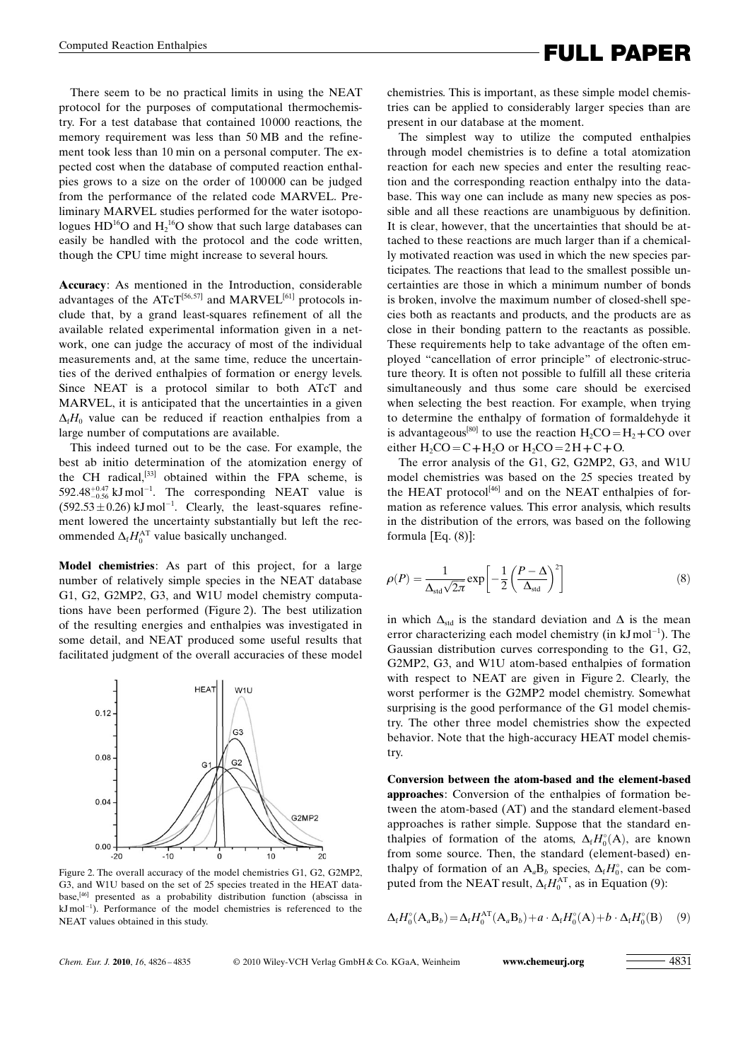There seem to be no practical limits in using the NEAT protocol for the purposes of computational thermochemistry. For a test database that contained 10 000 reactions, the memory requirement was less than 50 MB and the refinement took less than 10 min on a personal computer. The expected cost when the database of computed reaction enthalpies grows to a size on the order of 100 000 can be judged from the performance of the related code MARVEL. Preliminary MARVEL studies performed for the water isotopologues  $HD^{16}O$  and  $H_2^{16}O$  show that such large databases can easily be handled with the protocol and the code written, though the CPU time might increase to several hours.

Accuracy: As mentioned in the Introduction, considerable advantages of the ATcT[56,57] and MARVEL<sup>[61]</sup> protocols include that, by a grand least-squares refinement of all the available related experimental information given in a network, one can judge the accuracy of most of the individual measurements and, at the same time, reduce the uncertainties of the derived enthalpies of formation or energy levels. Since NEAT is a protocol similar to both ATcT and MARVEL, it is anticipated that the uncertainties in a given  $\Delta_f H_0$  value can be reduced if reaction enthalpies from a large number of computations are available.

This indeed turned out to be the case. For example, the best ab initio determination of the atomization energy of the CH radical,<sup>[33]</sup> obtained within the FPA scheme, is  $592.48^{+0.47}_{-0.56}$  kJ mol<sup>-1</sup>. The corresponding NEAT value is  $(592.53 \pm 0.26)$  kJmol<sup>-1</sup>. Clearly, the least-squares refinement lowered the uncertainty substantially but left the recommended  $\Delta_f H_0^{\text{AT}}$  value basically unchanged.

Model chemistries: As part of this project, for a large number of relatively simple species in the NEAT database G1, G2, G2MP2, G3, and W1U model chemistry computations have been performed (Figure 2). The best utilization of the resulting energies and enthalpies was investigated in some detail, and NEAT produced some useful results that facilitated judgment of the overall accuracies of these model



Figure 2. The overall accuracy of the model chemistries G1, G2, G2MP2, G3, and W1U based on the set of 25 species treated in the HEAT database,[46] presented as a probability distribution function (abscissa in  $kJ \text{mol}^{-1}$ ). Performance of the model chemistries is referenced to the NEAT values obtained in this study.

chemistries. This is important, as these simple model chemistries can be applied to considerably larger species than are present in our database at the moment.

The simplest way to utilize the computed enthalpies through model chemistries is to define a total atomization reaction for each new species and enter the resulting reaction and the corresponding reaction enthalpy into the database. This way one can include as many new species as possible and all these reactions are unambiguous by definition. It is clear, however, that the uncertainties that should be attached to these reactions are much larger than if a chemically motivated reaction was used in which the new species participates. The reactions that lead to the smallest possible uncertainties are those in which a minimum number of bonds is broken, involve the maximum number of closed-shell species both as reactants and products, and the products are as close in their bonding pattern to the reactants as possible. These requirements help to take advantage of the often employed "cancellation of error principle" of electronic-structure theory. It is often not possible to fulfill all these criteria simultaneously and thus some care should be exercised when selecting the best reaction. For example, when trying to determine the enthalpy of formation of formaldehyde it is advantageous<sup>[80]</sup> to use the reaction  $H_2CO = H_2 + CO$  over either  $H_2CO = C + H_2O$  or  $H_2CO = 2H + C + O$ .

The error analysis of the G1, G2, G2MP2, G3, and W1U model chemistries was based on the 25 species treated by the HEAT protocol<sup>[46]</sup> and on the NEAT enthalpies of formation as reference values. This error analysis, which results in the distribution of the errors, was based on the following formula [Eq. (8)]:

$$
\rho(P) = \frac{1}{\Delta_{\text{std}}\sqrt{2\pi}} \exp\left[-\frac{1}{2}\left(\frac{P-\Delta}{\Delta_{\text{std}}}\right)^2\right]
$$
(8)

in which  $\Delta_{std}$  is the standard deviation and  $\Delta$  is the mean error characterizing each model chemistry (in  $kJ \text{ mol}^{-1}$ ). The Gaussian distribution curves corresponding to the G1, G2, G2MP2, G3, and W1U atom-based enthalpies of formation with respect to NEAT are given in Figure 2. Clearly, the worst performer is the G2MP2 model chemistry. Somewhat surprising is the good performance of the G1 model chemistry. The other three model chemistries show the expected behavior. Note that the high-accuracy HEAT model chemistry.

Conversion between the atom-based and the element-based approaches: Conversion of the enthalpies of formation between the atom-based (AT) and the standard element-based approaches is rather simple. Suppose that the standard enthalpies of formation of the atoms,  $\Delta_f H_0^{\circ}(A)$ , are known from some source. Then, the standard (element-based) enthalpy of formation of an  $A_a B_b$  species,  $\Delta_f H_0^{\circ}$ , can be computed from the NEAT result,  $\Delta_f H_0^{\text{AT}}$ , as in Equation (9):

$$
\Delta_{\rm f} H_0^{\circ}(\mathbf{A}_a \mathbf{B}_b) = \Delta_{\rm f} H_0^{\rm AT}(\mathbf{A}_a \mathbf{B}_b) + a \cdot \Delta_{\rm f} H_0^{\circ}(\mathbf{A}) + b \cdot \Delta_{\rm f} H_0^{\circ}(\mathbf{B}) \tag{9}
$$

Chem. Eur. J. 2010, 16, 4826-4835 © 2010 Wiley-VCH Verlag GmbH & Co. KGaA, Weinheim <www.chemeurj.org> – 4831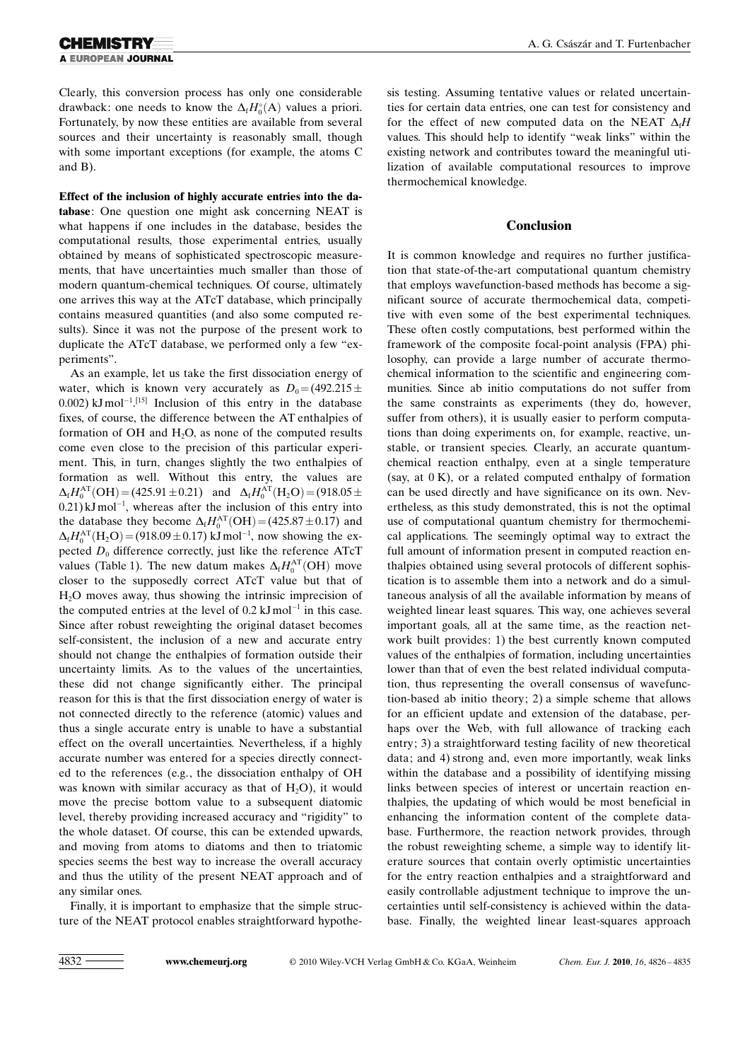Clearly, this conversion process has only one considerable drawback: one needs to know the  $\Delta_f H_0^{\circ}(A)$  values a priori. Fortunately, by now these entities are available from several sources and their uncertainty is reasonably small, though with some important exceptions (for example, the atoms C and B).

Effect of the inclusion of highly accurate entries into the database: One question one might ask concerning NEAT is what happens if one includes in the database, besides the computational results, those experimental entries, usually obtained by means of sophisticated spectroscopic measurements, that have uncertainties much smaller than those of modern quantum-chemical techniques. Of course, ultimately one arrives this way at the ATcT database, which principally contains measured quantities (and also some computed results). Since it was not the purpose of the present work to duplicate the ATcT database, we performed only a few "experiments".

As an example, let us take the first dissociation energy of water, which is known very accurately as  $D_0 = (492.215 \pm 1)$  $(0.002)$  kJ mol<sup>-1</sup>.<sup>[15]</sup> Inclusion of this entry in the database fixes, of course, the difference between the AT enthalpies of formation of OH and  $H_2O$ , as none of the computed results come even close to the precision of this particular experiment. This, in turn, changes slightly the two enthalpies of formation as well. Without this entry, the values are  $\Delta_{\rm f} H_0^{\rm AT}(\rm OH)$  = (425.91  $\pm$  0.21) and  $\Delta_{\rm f} H_0^{\rm AT}(\rm H_2O)$  = (918.05  $\pm$  $(0.21)$  kJ mol<sup>-1</sup>, whereas after the inclusion of this entry into the database they become  $\Delta_i H_0^{\text{AT}}(\text{OH}) = (425.87 \pm 0.17)$  and  $\Delta_{\rm f} H_0^{\rm AT}({\rm H}_2{\rm O}) = (918.09 \pm 0.17) \text{ kJ} \text{mol}^{-1}$ , now showing the expected  $D_0$  difference correctly, just like the reference ATcT values (Table 1). The new datum makes  $\Delta_f H_0^{\text{AT}}(\text{OH})$  move closer to the supposedly correct ATcT value but that of H2O moves away, thus showing the intrinsic imprecision of the computed entries at the level of  $0.2 \text{ kJ} \text{ mol}^{-1}$  in this case. Since after robust reweighting the original dataset becomes self-consistent, the inclusion of a new and accurate entry should not change the enthalpies of formation outside their uncertainty limits. As to the values of the uncertainties, these did not change significantly either. The principal reason for this is that the first dissociation energy of water is not connected directly to the reference (atomic) values and thus a single accurate entry is unable to have a substantial effect on the overall uncertainties. Nevertheless, if a highly accurate number was entered for a species directly connected to the references (e.g., the dissociation enthalpy of OH was known with similar accuracy as that of  $H_2O$ ), it would move the precise bottom value to a subsequent diatomic level, thereby providing increased accuracy and "rigidity" to the whole dataset. Of course, this can be extended upwards, and moving from atoms to diatoms and then to triatomic species seems the best way to increase the overall accuracy and thus the utility of the present NEAT approach and of any similar ones.

Finally, it is important to emphasize that the simple structure of the NEAT protocol enables straightforward hypothesis testing. Assuming tentative values or related uncertainties for certain data entries, one can test for consistency and for the effect of new computed data on the NEAT  $\Delta_f H$ values. This should help to identify "weak links" within the existing network and contributes toward the meaningful utilization of available computational resources to improve thermochemical knowledge.

#### **Conclusion**

It is common knowledge and requires no further justification that state-of-the-art computational quantum chemistry that employs wavefunction-based methods has become a significant source of accurate thermochemical data, competitive with even some of the best experimental techniques. These often costly computations, best performed within the framework of the composite focal-point analysis (FPA) philosophy, can provide a large number of accurate thermochemical information to the scientific and engineering communities. Since ab initio computations do not suffer from the same constraints as experiments (they do, however, suffer from others), it is usually easier to perform computations than doing experiments on, for example, reactive, unstable, or transient species. Clearly, an accurate quantumchemical reaction enthalpy, even at a single temperature (say, at  $(0 K)$ , or a related computed enthalpy of formation can be used directly and have significance on its own. Nevertheless, as this study demonstrated, this is not the optimal use of computational quantum chemistry for thermochemical applications. The seemingly optimal way to extract the full amount of information present in computed reaction enthalpies obtained using several protocols of different sophistication is to assemble them into a network and do a simultaneous analysis of all the available information by means of weighted linear least squares. This way, one achieves several important goals, all at the same time, as the reaction network built provides: 1) the best currently known computed values of the enthalpies of formation, including uncertainties lower than that of even the best related individual computation, thus representing the overall consensus of wavefunction-based ab initio theory; 2) a simple scheme that allows for an efficient update and extension of the database, perhaps over the Web, with full allowance of tracking each entry; 3) a straightforward testing facility of new theoretical data; and 4) strong and, even more importantly, weak links within the database and a possibility of identifying missing links between species of interest or uncertain reaction enthalpies, the updating of which would be most beneficial in enhancing the information content of the complete database. Furthermore, the reaction network provides, through the robust reweighting scheme, a simple way to identify literature sources that contain overly optimistic uncertainties for the entry reaction enthalpies and a straightforward and easily controllable adjustment technique to improve the uncertainties until self-consistency is achieved within the database. Finally, the weighted linear least-squares approach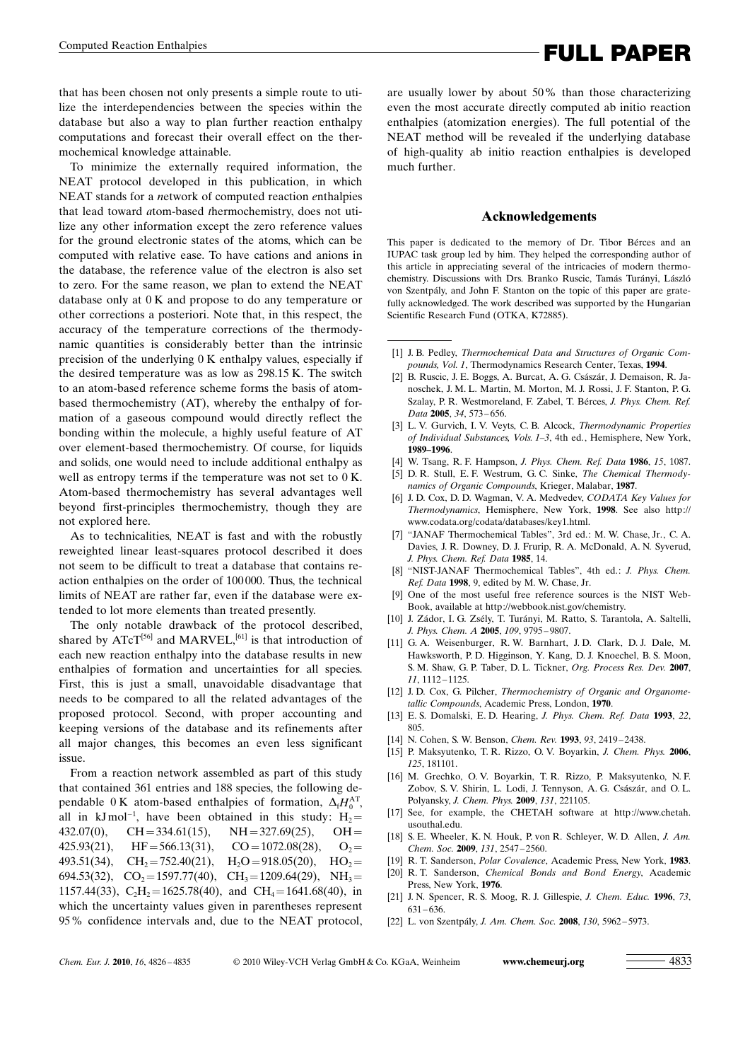that has been chosen not only presents a simple route to utilize the interdependencies between the species within the database but also a way to plan further reaction enthalpy computations and forecast their overall effect on the thermochemical knowledge attainable.

To minimize the externally required information, the NEAT protocol developed in this publication, in which NEAT stands for a network of computed reaction enthalpies that lead toward atom-based thermochemistry, does not utilize any other information except the zero reference values for the ground electronic states of the atoms, which can be computed with relative ease. To have cations and anions in the database, the reference value of the electron is also set to zero. For the same reason, we plan to extend the NEAT database only at 0 K and propose to do any temperature or other corrections a posteriori. Note that, in this respect, the accuracy of the temperature corrections of the thermodynamic quantities is considerably better than the intrinsic precision of the underlying 0 K enthalpy values, especially if the desired temperature was as low as 298.15 K. The switch to an atom-based reference scheme forms the basis of atombased thermochemistry (AT), whereby the enthalpy of formation of a gaseous compound would directly reflect the bonding within the molecule, a highly useful feature of AT over element-based thermochemistry. Of course, for liquids and solids, one would need to include additional enthalpy as well as entropy terms if the temperature was not set to  $0 K$ . Atom-based thermochemistry has several advantages well beyond first-principles thermochemistry, though they are not explored here.

As to technicalities, NEAT is fast and with the robustly reweighted linear least-squares protocol described it does not seem to be difficult to treat a database that contains reaction enthalpies on the order of 100 000. Thus, the technical limits of NEAT are rather far, even if the database were extended to lot more elements than treated presently.

The only notable drawback of the protocol described, shared by  $ATcT^{[56]}$  and  $MARVEL$ , [61] is that introduction of each new reaction enthalpy into the database results in new enthalpies of formation and uncertainties for all species. First, this is just a small, unavoidable disadvantage that needs to be compared to all the related advantages of the proposed protocol. Second, with proper accounting and keeping versions of the database and its refinements after all major changes, this becomes an even less significant issue.

From a reaction network assembled as part of this study that contained 361 entries and 188 species, the following dependable 0 K atom-based enthalpies of formation,  $\Delta_i H_0^{\text{AT}}$ , all in  $kJ \text{ mol}^{-1}$ , have been obtained in this study:  $H_2 =$ 432.07(0), CH = 334.61(15), NH = 327.69(25), OH = 425.93(21), HF=566.13(31), CO=1072.08(28), O<sub>2</sub>= 493.51(34), CH<sub>2</sub>=752.40(21), H<sub>2</sub>O=918.05(20), HO<sub>2</sub>= 694.53(32),  $CO_2 = 1597.77(40)$ ,  $CH_3 = 1209.64(29)$ ,  $NH_3 =$ 1157.44(33), C<sub>2</sub>H<sub>2</sub> = 1625.78(40), and CH<sub>4</sub> = 1641.68(40), in which the uncertainty values given in parentheses represent 95% confidence intervals and, due to the NEAT protocol, are usually lower by about 50% than those characterizing even the most accurate directly computed ab initio reaction enthalpies (atomization energies). The full potential of the NEAT method will be revealed if the underlying database of high-quality ab initio reaction enthalpies is developed much further.

#### Acknowledgements

This paper is dedicated to the memory of Dr. Tibor Bérces and an IUPAC task group led by him. They helped the corresponding author of this article in appreciating several of the intricacies of modern thermochemistry. Discussions with Drs. Branko Ruscic, Tamás Turányi, László von Szentpály, and John F. Stanton on the topic of this paper are gratefully acknowledged. The work described was supported by the Hungarian Scientific Research Fund (OTKA, K72885).

- [1] J. B. Pedley, Thermochemical Data and Structures of Organic Compounds, Vol. 1, Thermodynamics Research Center, Texas, 1994.
- [2] B. Ruscic, J. E. Boggs, A. Burcat, A. G. Császár, J. Demaison, R. Janoschek, J. M. L. Martin, M. Morton, M. J. Rossi, J. F. Stanton, P. G. Szalay, P. R. Westmoreland, F. Zabel, T. Bérces, [J. Phys. Chem. Ref.](http://dx.doi.org/10.1063/1.1724828) Data 2005, 34, 573-656.
- [3] L. V. Gurvich, I. V. Veyts, C. B. Alcock, Thermodynamic Properties of Individual Substances, Vols. 1–3, 4th ed., Hemisphere, New York, 1989–1996.
- [4] W. Tsang, R. F. Hampson, J. Phys. Chem. Ref. Data 1986, 15, 1087.
- [5] D. R. Stull, E. F. Westrum, G. C. Sinke, The Chemical Thermodynamics of Organic Compounds, Krieger, Malabar, 1987.
- [6] J. D. Cox, D. D. Wagman, V. A. Medvedev, CODATA Key Values for Thermodynamics, Hemisphere, New York, 1998. See also http:// www.codata.org/codata/databases/key1.html.
- [7] "JANAF Thermochemical Tables", 3rd ed.: M. W. Chase, Jr., C. A. Davies, J. R. Downey, D. J. Frurip, R. A. McDonald, A. N. Syverud, J. Phys. Chem. Ref. Data 1985, 14.
- [8] "NIST-JANAF Thermochemical Tables", 4th ed.: J. Phys. Chem. Ref. Data 1998, 9, edited by M. W. Chase, Jr.
- [9] One of the most useful free reference sources is the NIST Web-Book, available at http://webbook.nist.gov/chemistry.
- [10] J. Zádor, I. G. Zsély, T. Turányi, M. Ratto, S. Tarantola, A. Saltelli, J. Phys. Chem. A 2005, 109, 9795 – 9807.
- [11] G. A. Weisenburger, R. W. Barnhart, J. D. Clark, D. J. Dale, M. Hawksworth, P. D. Higginson, Y. Kang, D. J. Knoechel, B. S. Moon, S. M. Shaw, G. P. Taber, D. L. Tickner, [Org. Process Res. Dev.](http://dx.doi.org/10.1021/op700173h) 2007, 11[, 1112 – 1125.](http://dx.doi.org/10.1021/op700173h)
- [12] J. D. Cox, G. Pilcher, Thermochemistry of Organic and Organometallic Compounds, Academic Press, London, 1970.
- [13] E. S. Domalski, E. D. Hearing, J. Phys. Chem. Ref. Data 1993, 22, 805.
- [14] N. Cohen, S. W. Benson, *[Chem. Rev.](http://dx.doi.org/10.1021/cr00023a005)* 1993, 93, 2419-2438.
- [15] P. Maksyutenko, T. R. Rizzo, O. V. Boyarkin, [J. Chem. Phys.](http://dx.doi.org/10.1063/1.2387163) 2006, 125[, 181101.](http://dx.doi.org/10.1063/1.2387163)
- [16] M. Grechko, O. V. Boyarkin, T. R. Rizzo, P. Maksyutenko, N. F. Zobov, S. V. Shirin, L. Lodi, J. Tennyson, A. G. Császár, and O. L. Polyansky, [J. Chem. Phys.](http://dx.doi.org/10.1063/1.3273207) 2009, 131, 221105.
- [17] See, for example, the CHETAH software at http://www.chetah. usouthal.edu.
- [18] S. E. Wheeler, K. N. Houk, P. von R. Schleyer, W. D. Allen, [J. Am.](http://dx.doi.org/10.1021/ja805843n) [Chem. Soc.](http://dx.doi.org/10.1021/ja805843n) 2009, 131[, 2547 – 2560.](http://dx.doi.org/10.1021/ja805843n)
- [19] R. T. Sanderson, *Polar Covalence*, Academic Press, New York, 1983. [20] R. T. Sanderson, Chemical Bonds and Bond Energy, Academic
- Press, New York, 1976.
- [21] J. N. Spencer, R. S. Moog, R. J. Gillespie, J. Chem. Educ. 1996, 73,  $631 - 636$ .
- [22] L. von Szentpály, *J. Am. Chem. Soc.* **2008**, 130, 5962–5973.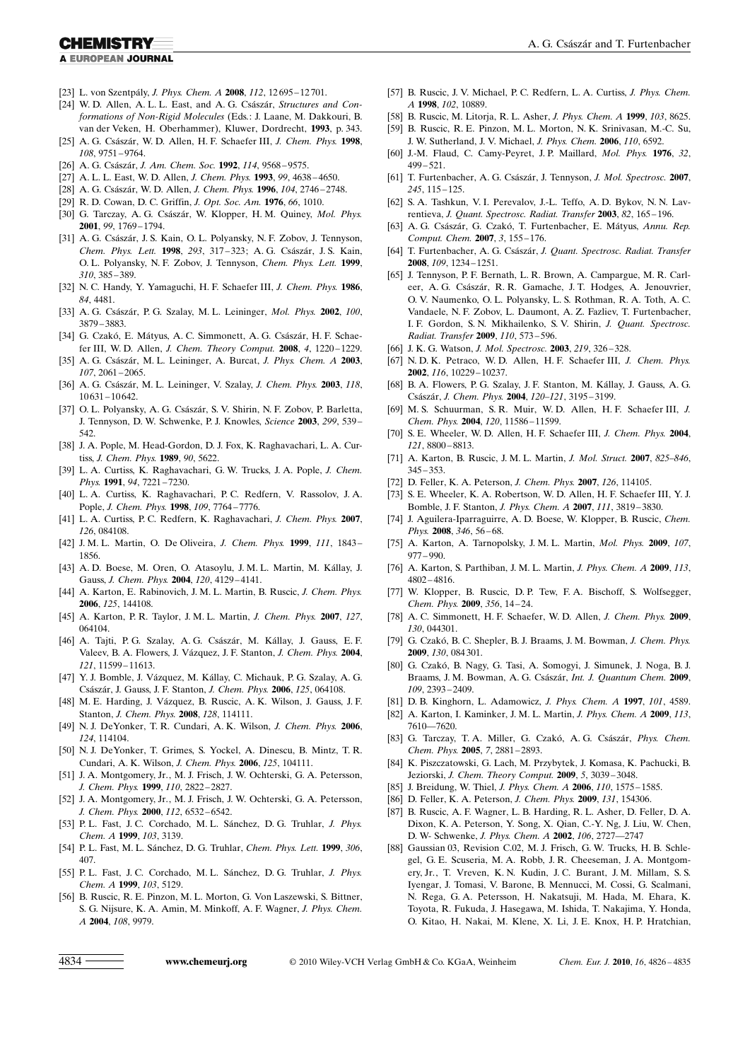#### HEMISTRY

**A EUROPEAN JOURNAL** 

- [23] L. von Szentpály, *J. Phys. Chem. A* **2008**, 112, 12695–12701.
- [24] W. D. Allen, A. L. L. East, and A. G. Császár, Structures and Conformations of Non-Rigid Molecules (Eds.: J. Laane, M. Dakkouri, B. van der Veken, H. Oberhammer), Kluwer, Dordrecht, 1993, p. 343.
- [25] A. G. Császár, W. D. Allen, H. F. Schaefer III, J. Chem. Phys. 1998, 108, 9751 – 9764.
- [26] A. G. Császár, *J. Am. Chem. Soc.* **1992**, *114*, 9568–9575.
- [27] A. L. L. East, W. D. Allen, *[J. Chem. Phys.](http://dx.doi.org/10.1063/1.466062)* 1993, 99, 4638-4650.
- [28] A. G. Császár, W. D. Allen, J. Chem. Phys. 1996, 104, 2746-2748.
- [29] R. D. Cowan, D. C. Griffin, [J. Opt. Soc. Am.](http://dx.doi.org/10.1364/JOSA.66.001010) 1976, 66, 1010.
- [30] G. Tarczay, A. G. Császár, W. Klopper, H. M. Quiney, [Mol. Phys.](http://dx.doi.org/10.1080/00268970110073907) 2001, 99[, 1769 – 1794](http://dx.doi.org/10.1080/00268970110073907).
- [31] A. G. Császár, J. S. Kain, O. L. Polyansky, N. F. Zobov, J. Tennyson, Chem. Phys. Lett. 1998, 293, 317-323; A. G. Császár, J. S. Kain, O. L. Polyansky, N. F. Zobov, J. Tennyson, Chem. Phys. Lett. 1999, 310, 385 – 389.
- [32] N. C. Handy, Y. Yamaguchi, H. F. Schaefer III, [J. Chem. Phys.](http://dx.doi.org/10.1063/1.450020) 1986, 84[, 4481.](http://dx.doi.org/10.1063/1.450020)
- [33] A. G. Császár, P. G. Szalay, M. L. Leininger, Mol. Phys. 2002, 100, 3879 – 3883.
- [34] G. Czakó, E. Mátyus, A. C. Simmonett, A. G. Császár, H. F. Schaefer III, W. D. Allen, J. Chem. Theory Comput. 2008, 4, 1220 – 1229.
- [35] A. G. Császár, M. L. Leininger, A. Burcat, J. Phys. Chem. A 2003, 107, 2061 – 2065.
- [36] A. G. Császár, M. L. Leininger, V. Szalay, J. Chem. Phys. 2003, 118, 10 631 – 10 642.
- [37] O. L. Polyansky, A. G. Császár, S. V. Shirin, N. F. Zobov, P. Barletta, J. Tennyson, D. W. Schwenke, P. J. Knowles, [Science](http://dx.doi.org/10.1126/science.1079558) 2003, 299, 539 – [542](http://dx.doi.org/10.1126/science.1079558).
- [38] J. A. Pople, M. Head-Gordon, D. J. Fox, K. Raghavachari, L. A. Curtiss, [J. Chem. Phys.](http://dx.doi.org/10.1063/1.456415) 1989, 90, 5622.
- [39] L. A. Curtiss, K. Raghavachari, G. W. Trucks, J. A. Pople, [J. Chem.](http://dx.doi.org/10.1063/1.460205) Phys. 1991, 94, 7221-7230.
- [40] L. A. Curtiss, K. Raghavachari, P. C. Redfern, V. Rassolov, J. A. Pople, [J. Chem. Phys.](http://dx.doi.org/10.1063/1.477422) 1998, 109, 7764 – 7776.
- [41] L. A. Curtiss, P. C. Redfern, K. Raghavachari, [J. Chem. Phys.](http://dx.doi.org/10.1063/1.2436888) 2007, 126[, 084108.](http://dx.doi.org/10.1063/1.2436888)
- 42] J. M. L. Martin, O. De Oliveira, [J. Chem. Phys.](http://dx.doi.org/10.1063/1.479454) 1999, 111, 1843-[1856.](http://dx.doi.org/10.1063/1.479454)
- [43] A. D. Boese, M. Oren, O. Atasoylu, J. M. L. Martin, M. Kállay, J. Gauss, [J. Chem. Phys.](http://dx.doi.org/10.1063/1.1638736) 2004, 120, 4129 – 4141.
- [44] A. Karton, E. Rabinovich, J. M. L. Martin, B. Ruscic, [J. Chem. Phys.](http://dx.doi.org/10.1063/1.2348881) 2006, 125[, 144108.](http://dx.doi.org/10.1063/1.2348881)
- [45] A. Karton, P. R. Taylor, J. M. L. Martin, [J. Chem. Phys.](http://dx.doi.org/10.1063/1.2755751) 2007, 127, [064104](http://dx.doi.org/10.1063/1.2755751).
- [46] A. Tajti, P. G. Szalay, A. G. Császár, M. Kállay, J. Gauss, E. F. Valeev, B. A. Flowers, J. Vázquez, J. F. Stanton, *[J. Chem. Phys.](http://dx.doi.org/10.1063/1.1811608)* 2004, 121[, 11599 – 11613](http://dx.doi.org/10.1063/1.1811608).
- [47] Y. J. Bomble, J. Vázquez, M. Kállay, C. Michauk, P. G. Szalay, A. G. Császár, J. Gauss, J. F. Stanton, [J. Chem. Phys.](http://dx.doi.org/10.1063/1.2206789) 2006, 125, 064108.
- [48] M. E. Harding, J. Vázquez, B. Ruscic, A. K. Wilson, J. Gauss, J. F. Stanton, *[J. Chem. Phys.](http://dx.doi.org/10.1063/1.2835612)* **2008**, 128, 114111.
- [49] N. J. DeYonker, T. R. Cundari, A. K. Wilson, [J. Chem. Phys.](http://dx.doi.org/10.1063/1.2173988) 2006, 124[, 114104.](http://dx.doi.org/10.1063/1.2173988)
- [50] N. J. DeYonker, T. Grimes, S. Yockel, A. Dinescu, B. Mintz, T. R. Cundari, A. K. Wilson, [J. Chem. Phys.](http://dx.doi.org/10.1063/1.2236116) 2006, 125, 104111.
- [51] J. A. Montgomery, Jr., M. J. Frisch, J. W. Ochterski, G. A. Petersson, [J. Chem. Phys.](http://dx.doi.org/10.1063/1.477924) 1999, 110, 2822 – 2827.
- [52] J. A. Montgomery, Jr., M. J. Frisch, J. W. Ochterski, G. A. Petersson, [J. Chem. Phys.](http://dx.doi.org/10.1063/1.481224) 2000, 112, 6532 – 6542.
- [53] P. L. Fast, J. C. Corchado, M. L. Sánchez, D. G. Truhlar, [J. Phys.](http://dx.doi.org/10.1021/jp9900382) [Chem. A](http://dx.doi.org/10.1021/jp9900382) 1999, 103, 3139.
- [54] P. L. Fast, M. L. Sánchez, D. G. Truhlar, *[Chem. Phys. Lett.](http://dx.doi.org/10.1016/S0009-2614(99)00493-5)* **1999**, 306, [407](http://dx.doi.org/10.1016/S0009-2614(99)00493-5).
- [55] P. L. Fast, J. C. Corchado, M. L. Sánchez, D. G. Truhlar, [J. Phys.](http://dx.doi.org/10.1021/jp9903460) [Chem. A](http://dx.doi.org/10.1021/jp9903460) 1999, 103, 5129.
- [56] B. Ruscic, R. E. Pinzon, M. L. Morton, G. Von Laszewski, S. Bittner, S. G. Nijsure, K. A. Amin, M. Minkoff, A. F. Wagner, [J. Phys. Chem.](http://dx.doi.org/10.1021/jp047912y) A 2004, 108[, 9979](http://dx.doi.org/10.1021/jp047912y).

4834 <www.chemeurj.org> © 2010 Wiley-VCH Verlag GmbH & Co. KGaA, Weinheim Chem. Eur. J. 2010, 16, 4826 – 4835

- [57] B. Ruscic, J. V. Michael, P. C. Redfern, L. A. Curtiss, [J. Phys. Chem.](http://dx.doi.org/10.1021/jp983237e) A 1998, 102[, 10889.](http://dx.doi.org/10.1021/jp983237e)
- [58] B. Ruscic, M. Litorja, R. L. Asher, [J. Phys. Chem. A](http://dx.doi.org/10.1021/jp992403v) 1999, 103, 8625.
- [59] B. Ruscic, R. E. Pinzon, M. L. Morton, N. K. Srinivasan, M.-C. Su, J. W. Sutherland, J. V. Michael, J. Phys. Chem. 2006, 110, 6592.
- [60] J.-M. Flaud, C. Camy-Peyret, J. P. Maillard, [Mol. Phys.](http://dx.doi.org/10.1080/00268977600103251) 1976, 32, [499 – 521.](http://dx.doi.org/10.1080/00268977600103251)
- [61] T. Furtenbacher, A. G. Császár, J. Tennyson, [J. Mol. Spectrosc.](http://dx.doi.org/10.1016/j.jms.2007.07.005) 2007, 245[, 115 – 125](http://dx.doi.org/10.1016/j.jms.2007.07.005).
- [62] S. A. Tashkun, V. I. Perevalov, J.-L. Teffo, A. D. Bykov, N. N. Lavrentieva, [J. Quant. Spectrosc. Radiat. Transfer](http://dx.doi.org/10.1016/S0022-4073(03)00152-3) 2003, 82, 165 – 196.
- [63] A. G. Császár, G. Czakó, T. Furtenbacher, E. Mátyus, Annu. Rep. Comput. Chem. 2007, 3, 155 – 176.
- [64] T. Furtenbacher, A. G. Császár, [J. Quant. Spectrosc. Radiat. Transfer](http://dx.doi.org/10.1016/j.jqsrt.2007.10.003) 2008, 109[, 1234 – 1251.](http://dx.doi.org/10.1016/j.jqsrt.2007.10.003)
- [65] J. Tennyson, P. F. Bernath, L. R. Brown, A. Campargue, M. R. Carleer, A. G. Császár, R. R. Gamache, J. T. Hodges, A. Jenouvrier, O. V. Naumenko, O. L. Polyansky, L. S. Rothman, R. A. Toth, A. C. Vandaele, N. F. Zobov, L. Daumont, A. Z. Fazliev, T. Furtenbacher, I. F. Gordon, S. N. Mikhailenko, S. V. Shirin, [J. Quant. Spectrosc.](http://dx.doi.org/10.1016/j.jqsrt.2009.02.014) [Radiat. Transfer](http://dx.doi.org/10.1016/j.jqsrt.2009.02.014) 2009, 110, 573 – 596.
- [66] J. K. G. Watson, [J. Mol. Spectrosc.](http://dx.doi.org/10.1016/S0022-2852(03)00100-0) 2003, 219, 326 328.
- [67] N. D. K. Petraco, W. D. Allen, H. F. Schaefer III, [J. Chem. Phys.](http://dx.doi.org/10.1063/1.1477180) 2002, 116[, 10229 – 10237](http://dx.doi.org/10.1063/1.1477180).
- [68] B. A. Flowers, P. G. Szalay, J. F. Stanton, M. Kállay, J. Gauss, A. G. Császár, J. Chem. Phys. 2004, 120-121, 3195-3199.
- [69] M. S. Schuurman, S. R. Muir, W. D. Allen, H. F. Schaefer III, [J.](http://dx.doi.org/10.1063/1.1707013) [Chem. Phys.](http://dx.doi.org/10.1063/1.1707013) 2004, 120, 11586-11599.
- [70] S. E. Wheeler, W. D. Allen, H. F. Schaefer III, [J. Chem. Phys.](http://dx.doi.org/10.1063/1.1787496) 2004, 121[, 8800 – 8813.](http://dx.doi.org/10.1063/1.1787496)
- [71] A. Karton, B. Ruscic, J. M. L. Martin, J. Mol. Struct. 2007, 825-846,  $345 - 353.$
- [72] D. Feller, K. A. Peterson, [J. Chem. Phys.](http://dx.doi.org/10.1063/1.2464112) 2007, 126, 114105.
- [73] S. E. Wheeler, K. A. Robertson, W. D. Allen, H. F. Schaefer III, Y. J.
- Bomble, J. F. Stanton, [J. Phys. Chem. A](http://dx.doi.org/10.1021/jp0684630) 2007, 111, 3819 3830. [74] J. Aguilera-Iparraguirre, A. D. Boese, W. Klopper, B. Ruscic, [Chem.](http://dx.doi.org/10.1016/j.chemphys.2008.01.057)
- [Phys.](http://dx.doi.org/10.1016/j.chemphys.2008.01.057) 2008, 346, 56-68. [75] A. Karton, A. Tarnopolsky, J. M. L. Martin, [Mol. Phys.](http://dx.doi.org/10.1080/00268970802708959) 2009, 107, [977 – 990.](http://dx.doi.org/10.1080/00268970802708959)
- [76] A. Karton, S. Parthiban, J. M. L. Martin, [J. Phys. Chem. A](http://dx.doi.org/10.1021/jp8087435) 2009, 113, [4802 – 4816](http://dx.doi.org/10.1021/jp8087435).
- [77] W. Klopper, B. Ruscic, D. P. Tew, F. A. Bischoff, S. Wolfsegger, [Chem. Phys.](http://dx.doi.org/10.1016/j.chemphys.2008.11.013) 2009, 356, 14-24.
- [78] A. C. Simmonett, H. F. Schaefer, W. D. Allen, [J. Chem. Phys.](http://dx.doi.org/10.1063/1.3054917) 2009, 130[, 044301.](http://dx.doi.org/10.1063/1.3054917)
- [79] G. Czakó, B. C. Shepler, B. J. Braams, J. M. Bowman, J. Chem. Phys. 2009, 130, 084 301.
- [80] G. Czakó, B. Nagy, G. Tasi, A. Somogyi, J. Simunek, J. Noga, B. J. Braams, J. M. Bowman, A. G. Császár, Int. J. Quantum Chem. 2009, 109, 2393 – 2409.
- [81] D. B. Kinghorn, L. Adamowicz, *J. Phys. Chem. A* **1997**, 101, 4589.
- [82] A. Karton, I. Kaminker, J. M. L. Martin, [J. Phys. Chem. A](http://dx.doi.org/10.1021/jp900056w) 2009, 113, [7610—7620](http://dx.doi.org/10.1021/jp900056w).
- [83] G. Tarczay, T. A. Miller, G. Czakó, A. G. Császár, [Phys. Chem.](http://dx.doi.org/10.1039/b506790a) [Chem. Phys.](http://dx.doi.org/10.1039/b506790a) 2005, 7, 2881 – 2893.
- [84] K. Piszczatowski, G. Lach, M. Przybytek, J. Komasa, K. Pachucki, B. Jeziorski, [J. Chem. Theory Comput.](http://dx.doi.org/10.1021/ct900391p) 2009, 5, 3039 – 3048.
- [85] J. Breidung, W. Thiel, [J. Phys. Chem. A](http://dx.doi.org/10.1021/jp053883v) 2006, 110, 1575-1585.
- [86] D. Feller, K. A. Peterson, [J. Chem. Phys.](http://dx.doi.org/10.1063/1.3246353) 2009, 131, 154306.
- [87] B. Ruscic, A. F. Wagner, L. B. Harding, R. L. Asher, D. Feller, D. A. Dixon, K. A. Peterson, Y. Song, X. Qian, C.-Y. Ng, J. Liu, W. Chen, D. W- Schwenke, [J. Phys. Chem. A](http://dx.doi.org/10.1021/jp013909s) 2002, 106, 2727—2747
- [88] Gaussian 03, Revision C.02, M. J. Frisch, G. W. Trucks, H. B. Schlegel, G. E. Scuseria, M. A. Robb, J. R. Cheeseman, J. A. Montgomery, Jr., T. Vreven, K. N. Kudin, J. C. Burant, J. M. Millam, S. S. Iyengar, J. Tomasi, V. Barone, B. Mennucci, M. Cossi, G. Scalmani, N. Rega, G. A. Petersson, H. Nakatsuji, M. Hada, M. Ehara, K. Toyota, R. Fukuda, J. Hasegawa, M. Ishida, T. Nakajima, Y. Honda, O. Kitao, H. Nakai, M. Klene, X. Li, J. E. Knox, H. P. Hratchian,